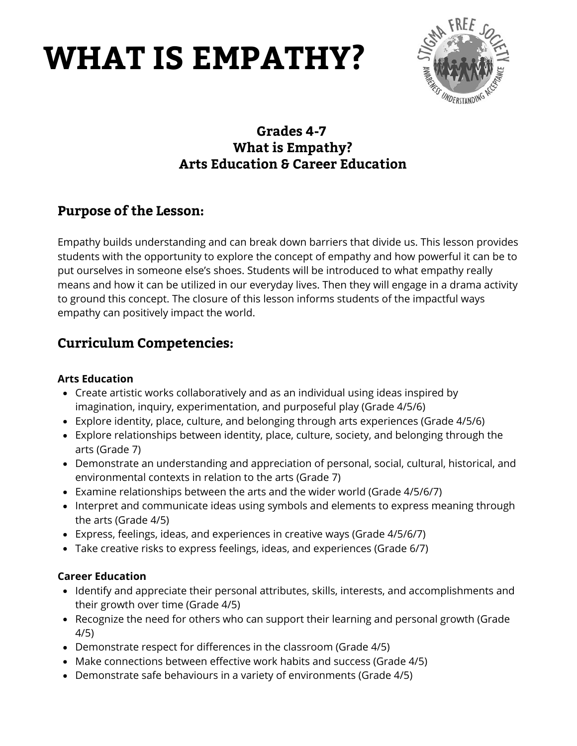## **WHAT IS EMPATHY?**



## **Grades 4-7 What is Empathy? Arts Education & Career Education**

### **Purpose of the Lesson:**

Empathy builds understanding and can break down barriers that divide us. This lesson provides students with the opportunity to explore the concept of empathy and how powerful it can be to put ourselves in someone else's shoes. Students will be introduced to what empathy really means and how it can be utilized in our everyday lives. Then they will engage in a drama activity to ground this concept. The closure of this lesson informs students of the impactful ways empathy can positively impact the world.

## **Curriculum Competencies:**

#### **Arts Education**

- Create artistic works collaboratively and as an individual using ideas inspired by imagination, inquiry, experimentation, and purposeful play (Grade 4/5/6)
- Explore identity, place, culture, and belonging through arts experiences (Grade 4/5/6)
- Explore relationships between identity, place, culture, society, and belonging through the arts (Grade 7)
- Demonstrate an understanding and appreciation of personal, social, cultural, historical, and environmental contexts in relation to the arts (Grade 7)
- Examine relationships between the arts and the wider world (Grade 4/5/6/7)
- Interpret and communicate ideas using symbols and elements to express meaning through the arts (Grade 4/5)
- Express, feelings, ideas, and experiences in creative ways (Grade 4/5/6/7)
- Take creative risks to express feelings, ideas, and experiences (Grade 6/7)

#### **Career Education**

- Identify and appreciate their personal attributes, skills, interests, and accomplishments and their growth over time (Grade 4/5)
- Recognize the need for others who can support their learning and personal growth (Grade 4/5)
- Demonstrate respect for differences in the classroom (Grade 4/5)
- Make connections between effective work habits and success (Grade 4/5)
- Demonstrate safe behaviours in a variety of environments (Grade 4/5)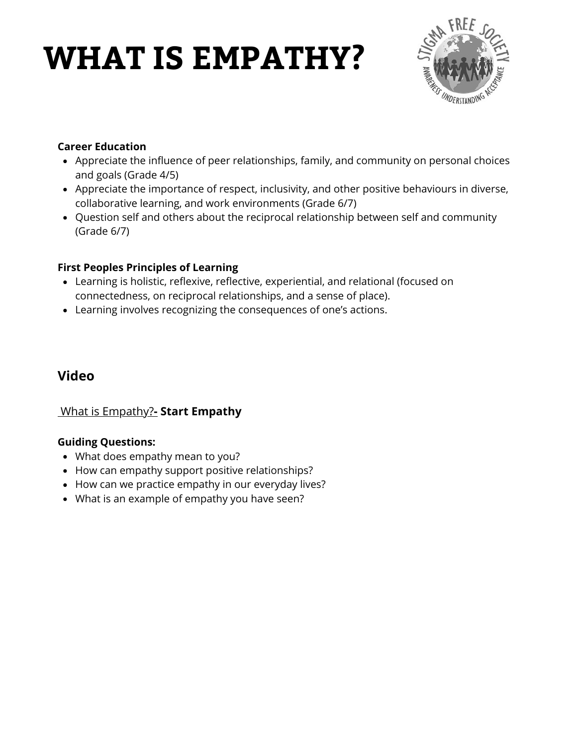## **WHAT IS EMPATHY?**



#### **Career Education**

- Appreciate the influence of peer relationships, family, and community on personal choices and goals (Grade 4/5)
- Appreciate the importance of respect, inclusivity, and other positive behaviours in diverse, collaborative learning, and work environments (Grade 6/7)
- Question self and others about the reciprocal relationship between self and community (Grade 6/7)

#### **First Peoples Principles of Learning**

- Learning is holistic, reflexive, reflective, experiential, and relational (focused on connectedness, on reciprocal relationships, and a sense of place).
- Learning involves recognizing the consequences of one's actions.

### **Video**

#### [What is Empathy?](https://www.youtube.com/watch?v=icIlUdTEQnU)**[-](https://www.youtube.com/watch?v=icIlUdTEQnU) Start Empathy**

#### **Guiding Questions:**

- What does empathy mean to you?
- How can empathy support positive relationships?
- How can we practice empathy in our everyday lives?
- What is an example of empathy you have seen?